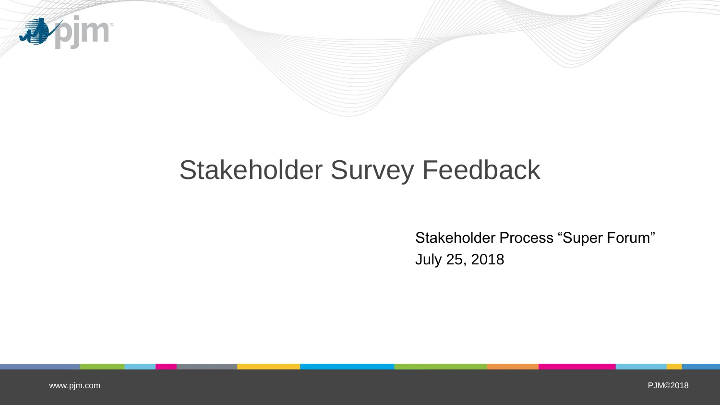

# Stakeholder Survey Feedback

Stakeholder Process "Super Forum" July 25, 2018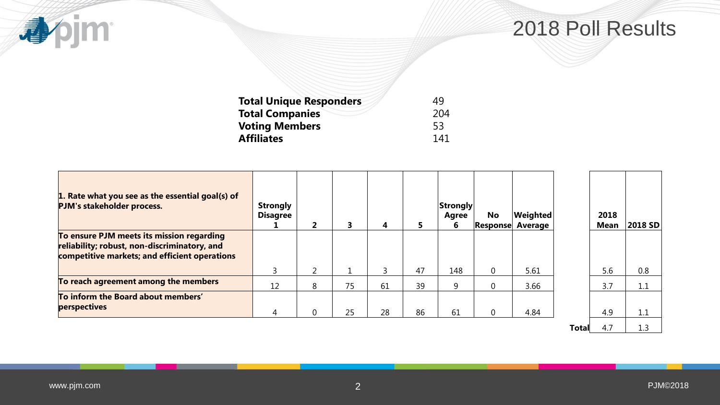# 2018 Poll Results

| 49  |
|-----|
| 204 |
| 53  |
| 141 |
|     |

| 1. Rate what you see as the essential goal(s) of<br>PJM's stakeholder process.                                                             | <b>Strongly</b><br><b>Disagree</b> | 2              | 3  | 4  | 5. | Strongly<br><b>Agree</b><br>6 | No<br>Response | <b>Weighted</b><br>Average |              | 2018<br><b>Mean</b> | 2018 SD |
|--------------------------------------------------------------------------------------------------------------------------------------------|------------------------------------|----------------|----|----|----|-------------------------------|----------------|----------------------------|--------------|---------------------|---------|
| To ensure PJM meets its mission regarding<br>reliability; robust, non-discriminatory, and<br>competitive markets; and efficient operations |                                    |                |    |    |    |                               |                |                            |              |                     |         |
|                                                                                                                                            | 3                                  | $\overline{2}$ |    |    | 47 | 148                           | $\overline{0}$ | 5.61                       |              | 5.6                 | 0.8     |
| To reach agreement among the members                                                                                                       | 12                                 | 8              | 75 | 61 | 39 | 9                             | $\mathbf 0$    | 3.66                       |              | 3.7                 | 1.1     |
| To inform the Board about members'<br>perspectives                                                                                         | 4                                  | 0              | 25 | 28 | 86 | 61                            | $\overline{0}$ | 4.84                       |              | 4.9                 | 1.1     |
|                                                                                                                                            |                                    |                |    |    |    |                               |                |                            | <b>Total</b> | 4.7                 | 1.3     |

**Apjm**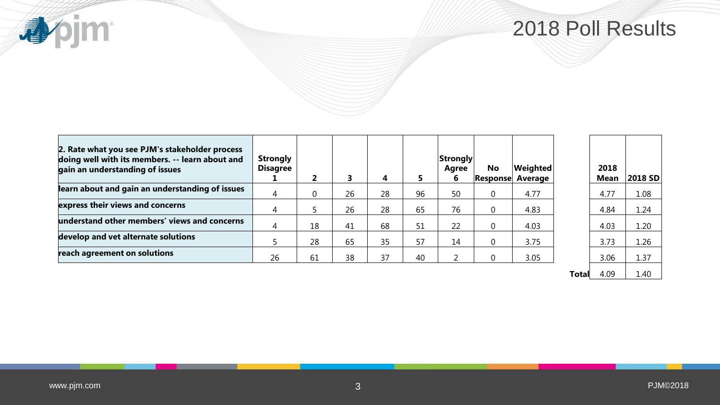**appim** 

### 2018 Poll Results

| 2. Rate what you see PJM's stakeholder process<br>doing well with its members. -- learn about and<br>gain an understanding of issues | <b>Strongly</b><br><b>Disagree</b> |    |    | 4  |    | Strongly<br><b>Agree</b> | <b>No</b><br> Response | Weighted<br>Average | 2018<br><b>Mean</b> | 2018 SD |
|--------------------------------------------------------------------------------------------------------------------------------------|------------------------------------|----|----|----|----|--------------------------|------------------------|---------------------|---------------------|---------|
| learn about and gain an understanding of issues                                                                                      |                                    |    | 26 | 28 | 96 | 50                       |                        | 4.77                | 4.77                | 1.08    |
| express their views and concerns                                                                                                     |                                    |    | 26 | 28 | 65 | 76                       |                        | 4.83                | 4.84                | 1.24    |
| understand other members' views and concerns                                                                                         |                                    | 18 | 41 | 68 | 51 | 22                       |                        | 4.03                | 4.03                | 1.20    |
| develop and vet alternate solutions                                                                                                  |                                    | 28 | 65 | 35 | 57 | 14                       |                        | 3.75                | 3.73                | 1.26    |
| reach agreement on solutions                                                                                                         | 26                                 | 61 | 38 | 37 | 40 |                          |                        | 3.05                | 3.06                | 1.37    |

**Total**  $4.09$  1.40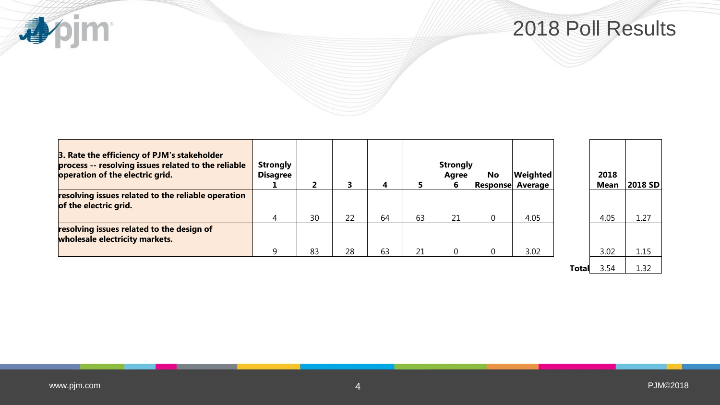

| 3. Rate the efficiency of PJM's stakeholder<br>process -- resolving issues related to the reliable<br>operation of the electric grid. | <b>Strongly</b><br><b>Disagree</b> | 2  |    | 4  |    | <b>Strongly</b><br>Agree<br>6 | <b>No</b> | <b>Weighted</b><br><b>Response Average</b> |       | 2018<br><b>Mean</b> | 2018 SD |
|---------------------------------------------------------------------------------------------------------------------------------------|------------------------------------|----|----|----|----|-------------------------------|-----------|--------------------------------------------|-------|---------------------|---------|
| resolving issues related to the reliable operation<br>of the electric grid.                                                           |                                    |    |    |    |    |                               |           |                                            |       |                     |         |
|                                                                                                                                       | 4                                  | 30 | 22 | 64 | 63 | 21                            | 0         | 4.05                                       |       | 4.05                | 1.27    |
| resolving issues related to the design of<br>wholesale electricity markets.                                                           |                                    |    |    |    |    |                               |           |                                            |       |                     |         |
|                                                                                                                                       | q                                  | 83 | 28 | 63 | 21 | $\overline{0}$                |           | 3.02                                       |       | 3.02                | 1.15    |
|                                                                                                                                       |                                    |    |    |    |    |                               |           |                                            | Total | 3.54                | 1.32    |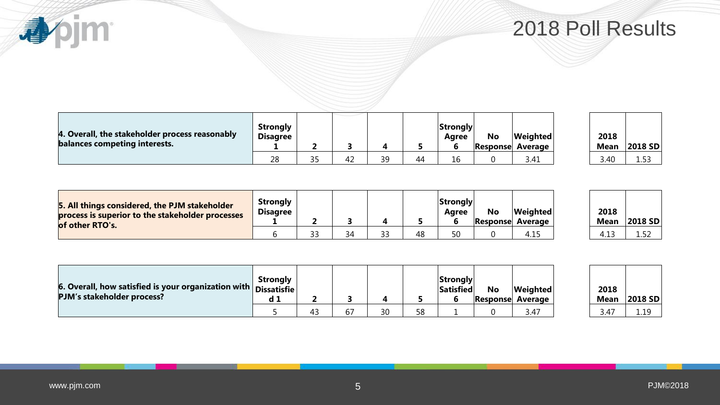[www.pjm.com](http://www.pjm.com/)

**小小** 

|  |  | 2018 Poll Results |  |
|--|--|-------------------|--|
|--|--|-------------------|--|

| 4. Overall, the stakeholder process reasonably<br>balances competing interests. | <b>Strongly</b><br><b>Disagree</b> |           |    |    |    | Strongly<br>Aaree<br>b | <b>No</b><br><b>Response</b> | <b>Weighted</b><br>l Average | 2018<br><b>Mean</b> | 2018 |
|---------------------------------------------------------------------------------|------------------------------------|-----------|----|----|----|------------------------|------------------------------|------------------------------|---------------------|------|
|                                                                                 | 28                                 | つに<br>ر ر | 42 | 2۵ | 44 | 16                     |                              | 3.41                         | 3.40                | ᅩᆢ   |

| 5. All things considered, the PJM stakeholder<br>process is superior to the stakeholder processes<br>of other RTO's. | <b>Strongly</b><br><b>Disagree</b> |   |    |    | <b>Strongly</b><br>Aaree | <b>No</b> | <b>Weighted</b><br><b>Response Average</b> | 2018<br><b>Mean</b> | 2018 SD          |
|----------------------------------------------------------------------------------------------------------------------|------------------------------------|---|----|----|--------------------------|-----------|--------------------------------------------|---------------------|------------------|
|                                                                                                                      |                                    | ົ | 34 | 48 | 50                       |           | 4.15                                       | 4                   | $\sim$<br>ے لی ک |

| 6. Overall, how satisfied is your organization with $ $ Dissatisfie $ $<br>PJM's stakeholder process? | Strongly<br>a 1 |    |    |    |    | <b>Strongly</b><br>Satisfied | <b>No</b> | Weighted<br><b>Response Average</b> | 2018<br>Mean | 2018 |
|-------------------------------------------------------------------------------------------------------|-----------------|----|----|----|----|------------------------------|-----------|-------------------------------------|--------------|------|
|                                                                                                       |                 | 43 | b. | ₹Û | 58 |                              |           | 3.47                                | 3.47         | 1.19 |

| 2018 |         |
|------|---------|
| Mean | 2018 SD |
|      |         |

| . .  |  |
|------|--|
|      |  |
|      |  |
|      |  |
|      |  |
|      |  |
|      |  |
|      |  |
|      |  |
|      |  |
|      |  |
|      |  |
|      |  |
|      |  |
| 2018 |  |
|      |  |

**Mean 2018 SD**

| 2018 |         |  |
|------|---------|--|
| lean | 2018 SD |  |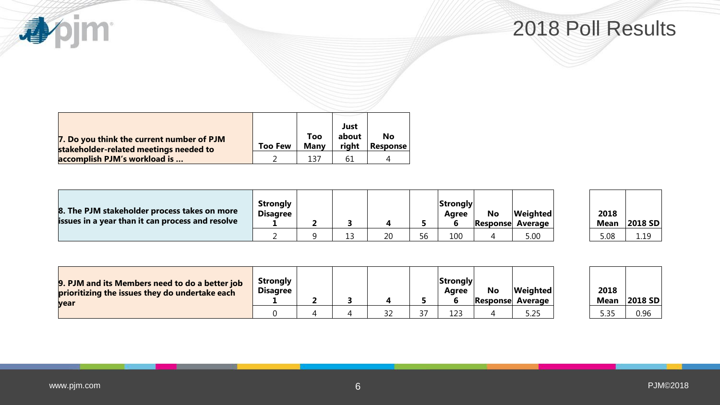**心心** 

| 7. Do you think the current number of PJM<br>stakeholder-related meetings needed to | <b>Too Few</b> | Too<br>Many | Just<br>about<br>right | No<br><b>Response</b> |
|-------------------------------------------------------------------------------------|----------------|-------------|------------------------|-----------------------|
| accomplish PJM's workload is                                                        |                | 137         | 61                     |                       |

| 8. The PJM stakeholder process takes on more<br>issues in a year than it can process and resolve | <b>Strongly</b><br><b>Disagree</b> |  |    |    | <b>Strongly</b><br>Aaree | <b>No</b> | Weighted<br>Response Average | 2018<br><b>Mean</b> | 2018 |
|--------------------------------------------------------------------------------------------------|------------------------------------|--|----|----|--------------------------|-----------|------------------------------|---------------------|------|
|                                                                                                  |                                    |  | 20 | 56 | 100                      |           | 5.00                         | 5.08                | 1.19 |

| 2018 |         |
|------|---------|
| Mean | 2018 SD |
| 5.08 |         |

| 9. PJM and its Members need to do a better job<br>prioritizing the issues they do undertake each<br>vear | <b>Strongly</b><br><b>Disagree</b> |  |              |    | Strongly<br>Aaree | No<br><b>Response</b> | <b>Weighted</b><br>Average | 2018<br><b>Mean</b> | 2018 |
|----------------------------------------------------------------------------------------------------------|------------------------------------|--|--------------|----|-------------------|-----------------------|----------------------------|---------------------|------|
|                                                                                                          |                                    |  | $\sim$<br>32 | 37 | 123               |                       | 5.25                       | . 25<br>. ب.        | 0.96 |

| 2018<br>Mean | 2018 SD |
|--------------|---------|
|              |         |
| 5 35         | በ 96    |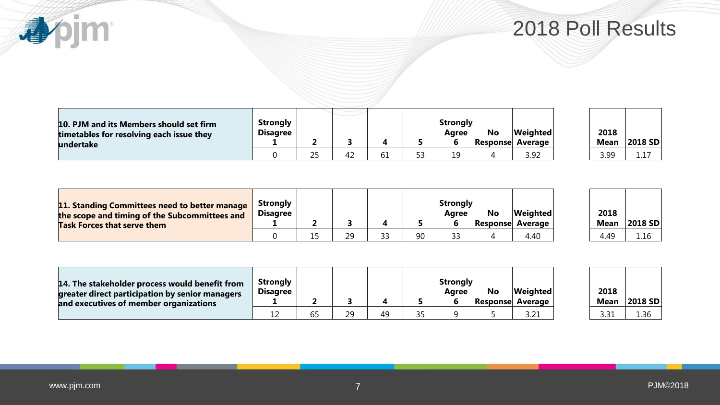**appim** 

| 10. PJM and its Members should set firm<br>timetables for resolving each issue they<br>undertake | <b>Strongly</b><br><b>Disagree</b> |    |    |    |    | ∣Strongly∣<br>Aaree | <b>No</b> | <i>Neighted</i><br><b>Response Average</b> | 2018<br><b>Mean</b> | 2018             |
|--------------------------------------------------------------------------------------------------|------------------------------------|----|----|----|----|---------------------|-----------|--------------------------------------------|---------------------|------------------|
|                                                                                                  |                                    | 25 | 42 | 61 | 53 | 19                  |           | 3.92                                       | 3.99                | <u>. خان خان</u> |

| 2018<br>Mean | 2018 SD |
|--------------|---------|
| 3.99         | 117     |

| 11. Standing Committees need to better manage<br>the scope and timing of the Subcommittees and<br><b>Task Forces that serve them</b> | Strongly<br><b>Disagree</b> |     |    |    |    | ∣Strongly∣<br>Aaree | No | Weighted<br><b>Response Average</b> | 2018<br>Mean | 2018 |
|--------------------------------------------------------------------------------------------------------------------------------------|-----------------------------|-----|----|----|----|---------------------|----|-------------------------------------|--------------|------|
|                                                                                                                                      |                             | ر _ | CΩ | 33 | 90 | 33                  |    | 4.40                                | 4.49         | .16  |

| 2018<br>Mean | 2018 SD |
|--------------|---------|
|              |         |
| 4 49         | 116     |

| 14. The stakeholder process would benefit from<br>greater direct participation by senior managers<br>and executives of member organizations | <b>Strongly</b><br><b>Disagree</b> |                     |    |  | Strongly<br>Aaree | No | <b>Weighted</b><br>Response Average | 2018<br><b>Mean</b> | 2018 |
|---------------------------------------------------------------------------------------------------------------------------------------------|------------------------------------|---------------------|----|--|-------------------|----|-------------------------------------|---------------------|------|
|                                                                                                                                             |                                    | $\sim$ $\sim$<br>ხ5 | 20 |  |                   |    | ົ່າ<br>3.Z 1                        | 3.31                | 1.36 |

| 2018<br>Mean | 2018 SD |
|--------------|---------|
| 3.31         | 1 36    |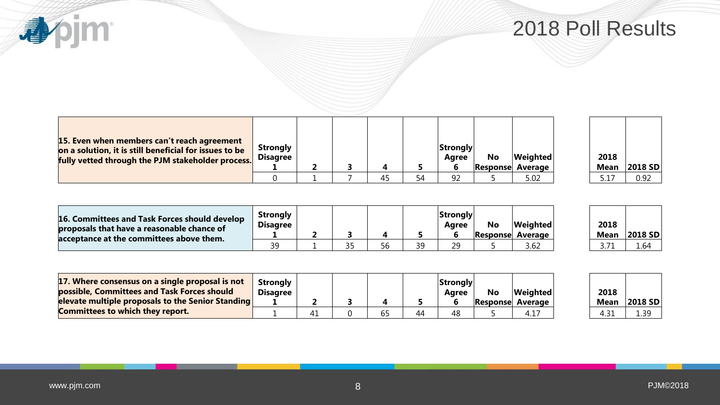**appim** 

| 15. Even when members can't reach agreement<br>on a solution, it is still beneficial for issues to be<br>fully vetted through the PJM stakeholder process. | <b>Strongly</b><br><b>Disagree</b> |  |    | Strongly<br>Agree | No | Weighted<br><b>Response Average</b> | 2018<br><b>Mean</b> | 2018 |
|------------------------------------------------------------------------------------------------------------------------------------------------------------|------------------------------------|--|----|-------------------|----|-------------------------------------|---------------------|------|
|                                                                                                                                                            |                                    |  | 54 | 92                |    | 5.02                                |                     | 0.92 |

| 2018  |                |
|-------|----------------|
| Mean  | <b>2018 SD</b> |
| 5 1 7 | በ 92           |

| 16. Committees and Task Forces should develop<br>proposals that have a reasonable chance of<br>acceptance at the committees above them. | <b>Strongly</b><br><b>Disagree</b> |  |    |     | Strongly <br>Aaree | <b>No</b> | <b>Weighted</b><br><b>Response Average</b> | 2018<br><b>Mean</b> | 2018 |
|-----------------------------------------------------------------------------------------------------------------------------------------|------------------------------------|--|----|-----|--------------------|-----------|--------------------------------------------|---------------------|------|
|                                                                                                                                         | วด                                 |  | 56 | ิี⊲ | 29                 |           | 3.62                                       |                     | 1.64 |

| 2018<br>Mean | 2018 SD |
|--------------|---------|
|              |         |
| 3 71         | 1.64    |

| 17. Where consensus on a single proposal is not<br>possible, Committees and Task Forces should<br>elevate multiple proposals to the Senior Standing | <b>Strongly</b><br><b>Disagree</b> |    |  |    | Strongly <br>Aaree | No | <b>Weighted</b><br>Response Average | 2018<br><b>Mean</b> | 2018 |
|-----------------------------------------------------------------------------------------------------------------------------------------------------|------------------------------------|----|--|----|--------------------|----|-------------------------------------|---------------------|------|
| <b>Committees to which they report.</b>                                                                                                             |                                    | 41 |  | 44 | 48                 |    | $4.1^{-}$                           | 4.31                | 1.39 |

| 2018 |         |
|------|---------|
| Mean | 2018 SD |
| 4 31 | 1 39    |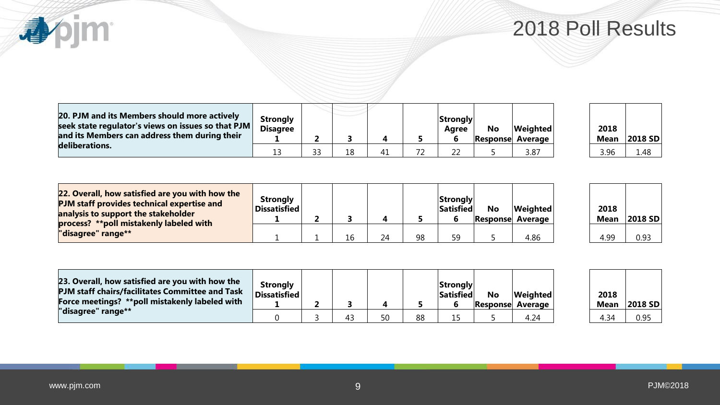2018 Poll Results

| 20. PJM and its Members should more actively<br>seek state regulator's views on issues so that PJM $\mid$<br>and its Members can address them during their | <b>Strongly</b><br><b>Disagree</b> |    |  |    | <b>Strongly</b><br>Agree | <b>No</b> | <b>Weighted</b><br><b>Response Average</b> | 2018<br><b>Mean</b> | 2018 |
|------------------------------------------------------------------------------------------------------------------------------------------------------------|------------------------------------|----|--|----|--------------------------|-----------|--------------------------------------------|---------------------|------|
| deliberations.                                                                                                                                             |                                    | 33 |  | 72 |                          |           | 3.87                                       | 3.96                | 1.48 |

| 2018 |         |
|------|---------|
| Mean | 2018 SD |
| 3.96 | 1 48    |

| 22. Overall, how satisfied are you with how the<br>PJM staff provides technical expertise and<br>analysis to support the stakeholder | <b>Strongly</b><br><b>Dissatisfied</b> |  |    |    | Strongly <br>Satisfied | <b>No</b> | <b>Weighted</b><br>Response Average | 2018<br><b>Mean</b> | 2018 |
|--------------------------------------------------------------------------------------------------------------------------------------|----------------------------------------|--|----|----|------------------------|-----------|-------------------------------------|---------------------|------|
| process? **poll mistakenly labeled with<br>"disagree" range**                                                                        |                                        |  | 24 | 98 | 59                     |           | 4.86                                | 4.99                | 0.93 |

| 2018 |         |
|------|---------|
| Mean | 2018 SD |
| 4    | በ ዓ3    |

| 23. Overall, how satisfied are you with how the<br><b>PJM staff chairs/facilitates Committee and Task</b><br>Force meetings? **poll mistakenly labeled with | <b>Strongly</b><br><sup>'</sup> Dissatisfied <sup> </sup> |    |    | <b>Strongly</b><br><b>Satisfied</b><br>b | No<br><b>Response</b> | <b>Weighted</b><br><b>Average</b> | 2018<br><b>Mean</b> | 2018 |
|-------------------------------------------------------------------------------------------------------------------------------------------------------------|-----------------------------------------------------------|----|----|------------------------------------------|-----------------------|-----------------------------------|---------------------|------|
| "disagree" range**                                                                                                                                          |                                                           | 43 | 88 |                                          |                       | 4.24                              | 4.34                | 0.95 |

| 2018<br><b>Mean</b> | 2018 SD |
|---------------------|---------|
| 4 34                | በ 95    |

apjm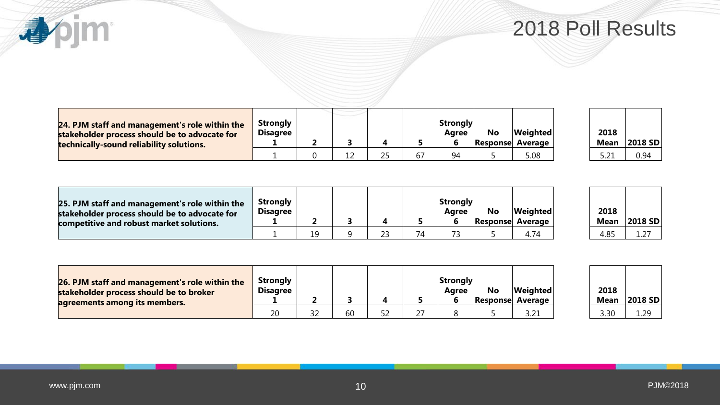**心心** 

| 24. PJM staff and management's role within the<br>stakeholder process should be to advocate for<br>technically-sound reliability solutions. | Strongly<br><b>Disagree</b> |  |    | <b>Strongly</b><br>Aaree<br>b | No<br> Response | <b>Weighted</b><br>Average | 2018<br><b>Mean</b> | 2018 |
|---------------------------------------------------------------------------------------------------------------------------------------------|-----------------------------|--|----|-------------------------------|-----------------|----------------------------|---------------------|------|
|                                                                                                                                             |                             |  | 67 | 94                            |                 | 5.08                       | 5.21                | 0.94 |

| 2018 |                |
|------|----------------|
| Mean | <b>2018 SD</b> |
| 5.21 | 0.94           |

| 25. PJM staff and management's role within the<br>stakeholder process should be to advocate for<br>competitive and robust market solutions. | <b>Strongly</b><br><b>Disagree</b> |     |          |    | Strongly <br>Aaree | <b>No</b> | <b>Weighted</b><br><b>Response Average</b> | 2018<br>Mean | 2018 |
|---------------------------------------------------------------------------------------------------------------------------------------------|------------------------------------|-----|----------|----|--------------------|-----------|--------------------------------------------|--------------|------|
|                                                                                                                                             |                                    | 1 Q | วว<br>∠こ | 74 | 73                 |           | 4.74                                       | 4.85         | 1.27 |

| 2018<br>Mean | 2018 SD |
|--------------|---------|
| 4.85         | 1 27    |

| 26. PJM staff and management's role within the<br>stakeholder process should be to broker<br>agreements among its members. | <b>Strongly</b><br><b>Disagree</b> |            |    |    | <b>Strongly</b><br>Aaree | <b>No</b><br><b>Response</b> | Weighted<br>Average | 2018<br><b>Mean</b> | 2018 |
|----------------------------------------------------------------------------------------------------------------------------|------------------------------------|------------|----|----|--------------------------|------------------------------|---------------------|---------------------|------|
|                                                                                                                            | 20                                 | ר ר<br>ے ر | 60 | רר |                          |                              | 3.21                | 3.30                | 1.29 |

| 2018 |         |
|------|---------|
| Mean | 2018 SD |
| 3.30 |         |